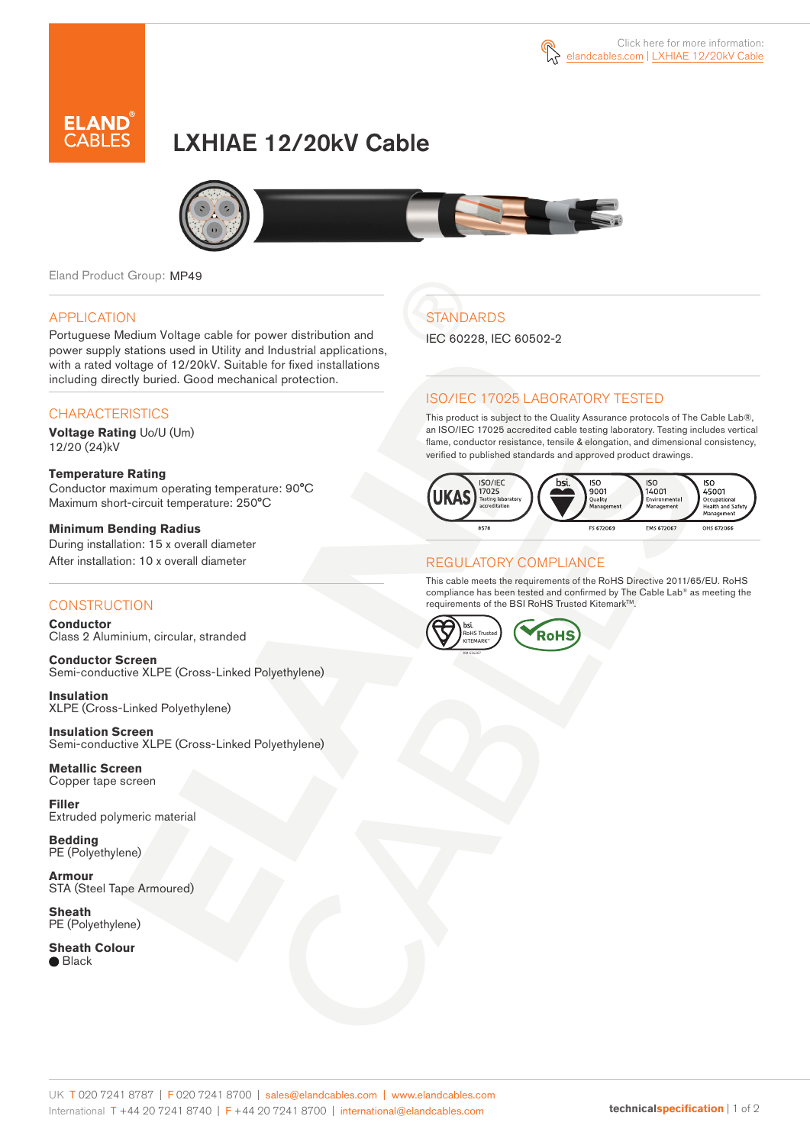



# LXHIAE 12/20kV Cable



Eland Product Group: MP49

### APPLICATION

Portuguese Medium Voltage cable for power distribution and power supply stations used in Utility and Industrial applications, with a rated voltage of 12/20kV. Suitable for fixed installations including directly buried. Good mechanical protection.

### **CHARACTERISTICS**

**Voltage Rating** Uo/U (Um) 12/20 (24)kV

#### **Temperature Rating**  Conductor maximum operating temperature: 90°C Maximum short-circuit temperature: 250°C

**Minimum Bending Radius**  During installation: 15 x overall diameter After installation: 10 x overall diameter

### **CONSTRUCTION**

**Conductor**  Class 2 Aluminium, circular, stranded

**Conductor Screen** Semi-conductive XLPE (Cross-Linked Polyethylene)

**Insulation** XLPE (Cross-Linked Polyethylene)

**Insulation Screen** Semi-conductive XLPE (Cross-Linked Polyethylene)

**Metallic Screen**  Copper tape screen

**Filler** Extruded polymeric material

**Bedding** PE (Polyethylene)

**Armour** STA (Steel Tape Armoured)

**Sheath** PE (Polyethylene)

**Sheath Colour** ● Black

# **STANDARDS**

IEC 60228, IEC 60502-2

### ISO/IEC 17025 LABORATORY TESTED

This product is subject to the Quality Assurance protocols of The Cable Lab®, an ISO/IEC 17025 accredited cable testing laboratory. Testing includes vertical flame, conductor resistance, tensile & elongation, and dimensional consistency, verified to published standards and approved product drawings.



### REGULATORY COMPLIANCE

This cable meets the requirements of the RoHS Directive 2011/65/EU. RoHS compliance has been tested and confirmed by The Cable Lab® as meeting the requirements of the BSI RoHS Trusted Kitemark™.